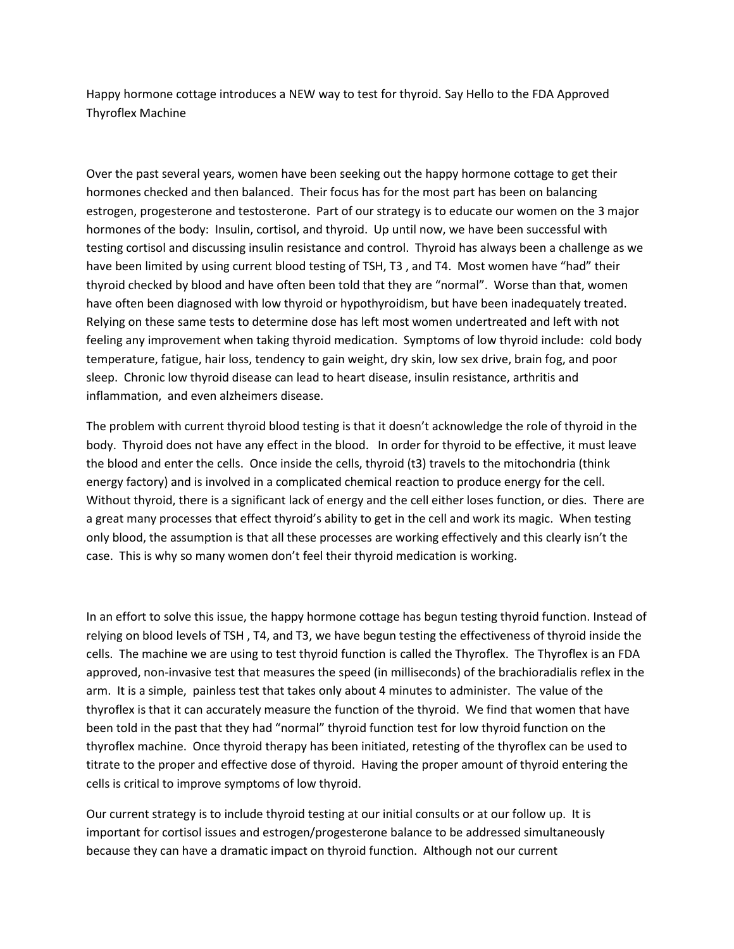Happy hormone cottage introduces a NEW way to test for thyroid. Say Hello to the FDA Approved Thyroflex Machine

Over the past several years, women have been seeking out the happy hormone cottage to get their hormones checked and then balanced. Their focus has for the most part has been on balancing estrogen, progesterone and testosterone. Part of our strategy is to educate our women on the 3 major hormones of the body: Insulin, cortisol, and thyroid. Up until now, we have been successful with testing cortisol and discussing insulin resistance and control. Thyroid has always been a challenge as we have been limited by using current blood testing of TSH, T3, and T4. Most women have "had" their thyroid checked by blood and have often been told that they are "normal". Worse than that, women have often been diagnosed with low thyroid or hypothyroidism, but have been inadequately treated. Relying on these same tests to determine dose has left most women undertreated and left with not feeling any improvement when taking thyroid medication. Symptoms of low thyroid include: cold body temperature, fatigue, hair loss, tendency to gain weight, dry skin, low sex drive, brain fog, and poor sleep. Chronic low thyroid disease can lead to heart disease, insulin resistance, arthritis and inflammation, and even alzheimers disease.

The problem with current thyroid blood testing is that it doesn't acknowledge the role of thyroid in the body. Thyroid does not have any effect in the blood. In order for thyroid to be effective, it must leave the blood and enter the cells. Once inside the cells, thyroid (t3) travels to the mitochondria (think energy factory) and is involved in a complicated chemical reaction to produce energy for the cell. Without thyroid, there is a significant lack of energy and the cell either loses function, or dies. There are a great many processes that effect thyroid's ability to get in the cell and work its magic. When testing only blood, the assumption is that all these processes are working effectively and this clearly isn't the case. This is why so many women don't feel their thyroid medication is working.

In an effort to solve this issue, the happy hormone cottage has begun testing thyroid function. Instead of relying on blood levels of TSH , T4, and T3, we have begun testing the effectiveness of thyroid inside the cells. The machine we are using to test thyroid function is called the Thyroflex. The Thyroflex is an FDA approved, non-invasive test that measures the speed (in milliseconds) of the brachioradialis reflex in the arm. It is a simple, painless test that takes only about 4 minutes to administer. The value of the thyroflex is that it can accurately measure the function of the thyroid. We find that women that have been told in the past that they had "normal" thyroid function test for low thyroid function on the thyroflex machine. Once thyroid therapy has been initiated, retesting of the thyroflex can be used to titrate to the proper and effective dose of thyroid. Having the proper amount of thyroid entering the cells is critical to improve symptoms of low thyroid.

Our current strategy is to include thyroid testing at our initial consults or at our follow up. It is important for cortisol issues and estrogen/progesterone balance to be addressed simultaneously because they can have a dramatic impact on thyroid function. Although not our current